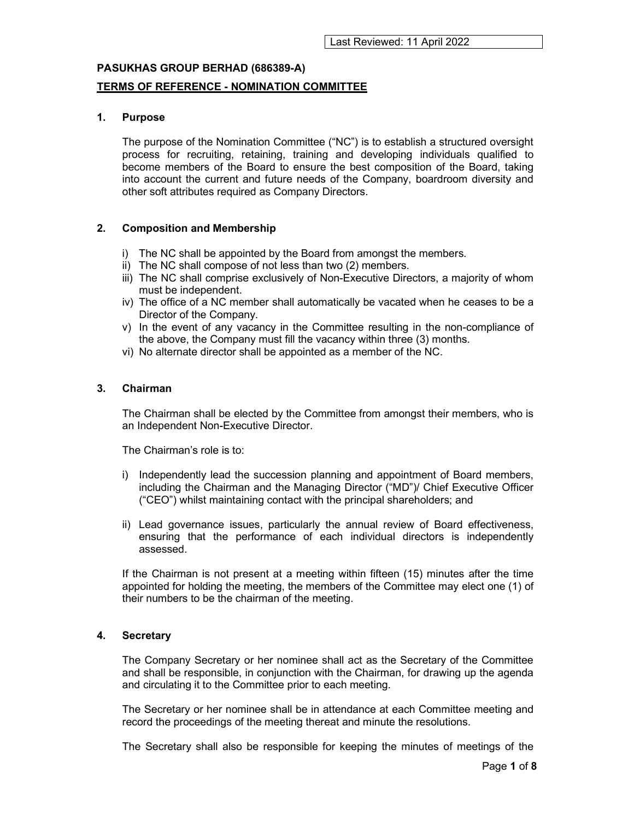# PASUKHAS GROUP BERHAD (686389-A) TERMS OF REFERENCE - NOMINATION COMMITTEE

### 1. Purpose

The purpose of the Nomination Committee ("NC") is to establish a structured oversight process for recruiting, retaining, training and developing individuals qualified to become members of the Board to ensure the best composition of the Board, taking into account the current and future needs of the Company, boardroom diversity and other soft attributes required as Company Directors.

### 2. Composition and Membership

- i) The NC shall be appointed by the Board from amongst the members.
- ii) The NC shall compose of not less than two (2) members.
- iii) The NC shall comprise exclusively of Non-Executive Directors, a majority of whom must be independent.
- iv) The office of a NC member shall automatically be vacated when he ceases to be a Director of the Company.
- v) In the event of any vacancy in the Committee resulting in the non-compliance of the above, the Company must fill the vacancy within three (3) months.
- vi) No alternate director shall be appointed as a member of the NC.

### 3. Chairman

The Chairman shall be elected by the Committee from amongst their members, who is an Independent Non-Executive Director.

The Chairman's role is to:

- i) Independently lead the succession planning and appointment of Board members, including the Chairman and the Managing Director ("MD")/ Chief Executive Officer ("CEO") whilst maintaining contact with the principal shareholders; and
- ii) Lead governance issues, particularly the annual review of Board effectiveness, ensuring that the performance of each individual directors is independently assessed.

If the Chairman is not present at a meeting within fifteen (15) minutes after the time appointed for holding the meeting, the members of the Committee may elect one (1) of their numbers to be the chairman of the meeting.

### 4. Secretary

The Company Secretary or her nominee shall act as the Secretary of the Committee and shall be responsible, in conjunction with the Chairman, for drawing up the agenda and circulating it to the Committee prior to each meeting.

The Secretary or her nominee shall be in attendance at each Committee meeting and record the proceedings of the meeting thereat and minute the resolutions.

The Secretary shall also be responsible for keeping the minutes of meetings of the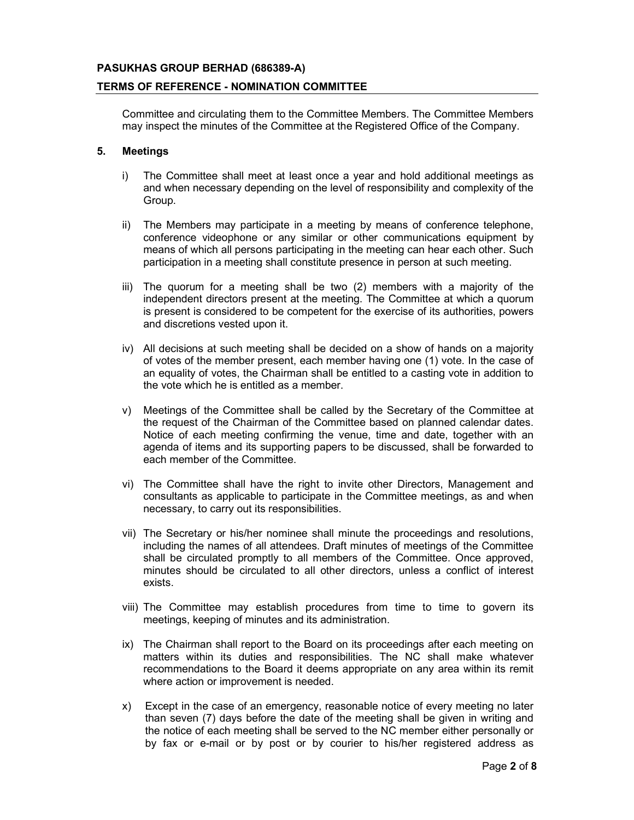### TERMS OF REFERENCE - NOMINATION COMMITTEE

Committee and circulating them to the Committee Members. The Committee Members may inspect the minutes of the Committee at the Registered Office of the Company.

### 5. Meetings

- i) The Committee shall meet at least once a year and hold additional meetings as and when necessary depending on the level of responsibility and complexity of the Group.
- ii) The Members may participate in a meeting by means of conference telephone, conference videophone or any similar or other communications equipment by means of which all persons participating in the meeting can hear each other. Such participation in a meeting shall constitute presence in person at such meeting.
- iii) The quorum for a meeting shall be two (2) members with a majority of the independent directors present at the meeting. The Committee at which a quorum is present is considered to be competent for the exercise of its authorities, powers and discretions vested upon it.
- iv) All decisions at such meeting shall be decided on a show of hands on a majority of votes of the member present, each member having one (1) vote. In the case of an equality of votes, the Chairman shall be entitled to a casting vote in addition to the vote which he is entitled as a member.
- v) Meetings of the Committee shall be called by the Secretary of the Committee at the request of the Chairman of the Committee based on planned calendar dates. Notice of each meeting confirming the venue, time and date, together with an agenda of items and its supporting papers to be discussed, shall be forwarded to each member of the Committee.
- vi) The Committee shall have the right to invite other Directors, Management and consultants as applicable to participate in the Committee meetings, as and when necessary, to carry out its responsibilities.
- vii) The Secretary or his/her nominee shall minute the proceedings and resolutions, including the names of all attendees. Draft minutes of meetings of the Committee shall be circulated promptly to all members of the Committee. Once approved, minutes should be circulated to all other directors, unless a conflict of interest exists.
- viii) The Committee may establish procedures from time to time to govern its meetings, keeping of minutes and its administration.
- ix) The Chairman shall report to the Board on its proceedings after each meeting on matters within its duties and responsibilities. The NC shall make whatever recommendations to the Board it deems appropriate on any area within its remit where action or improvement is needed.
- x) Except in the case of an emergency, reasonable notice of every meeting no later than seven (7) days before the date of the meeting shall be given in writing and the notice of each meeting shall be served to the NC member either personally or by fax or e-mail or by post or by courier to his/her registered address as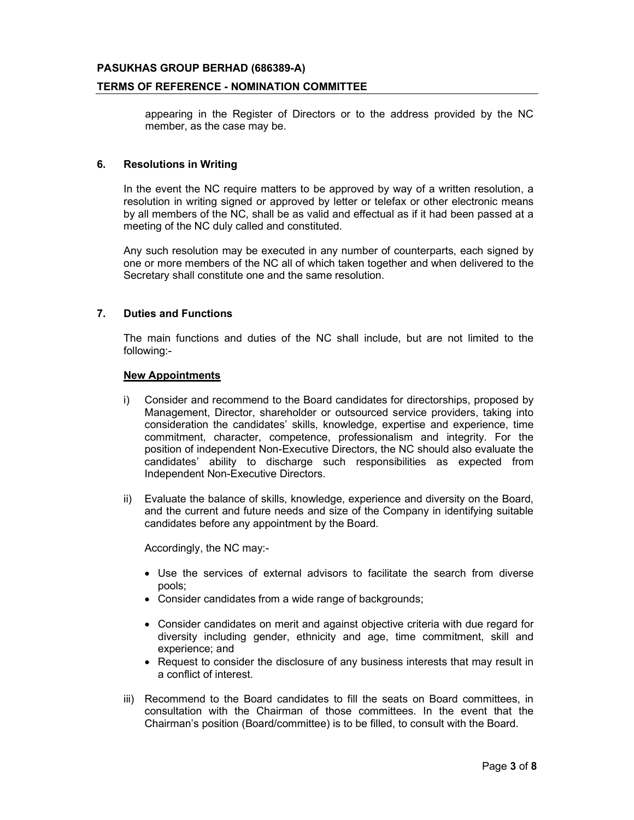### TERMS OF REFERENCE - NOMINATION COMMITTEE

appearing in the Register of Directors or to the address provided by the NC member, as the case may be.

### 6. Resolutions in Writing

In the event the NC require matters to be approved by way of a written resolution, a resolution in writing signed or approved by letter or telefax or other electronic means by all members of the NC, shall be as valid and effectual as if it had been passed at a meeting of the NC duly called and constituted.

Any such resolution may be executed in any number of counterparts, each signed by one or more members of the NC all of which taken together and when delivered to the Secretary shall constitute one and the same resolution.

### 7. Duties and Functions

The main functions and duties of the NC shall include, but are not limited to the following:-

#### New Appointments

- i) Consider and recommend to the Board candidates for directorships, proposed by Management, Director, shareholder or outsourced service providers, taking into consideration the candidates' skills, knowledge, expertise and experience, time commitment, character, competence, professionalism and integrity. For the position of independent Non-Executive Directors, the NC should also evaluate the candidates' ability to discharge such responsibilities as expected from Independent Non-Executive Directors.
- ii) Evaluate the balance of skills, knowledge, experience and diversity on the Board, and the current and future needs and size of the Company in identifying suitable candidates before any appointment by the Board.

Accordingly, the NC may:-

- Use the services of external advisors to facilitate the search from diverse pools;
- Consider candidates from a wide range of backgrounds;
- Consider candidates on merit and against objective criteria with due regard for diversity including gender, ethnicity and age, time commitment, skill and experience; and
- Request to consider the disclosure of any business interests that may result in a conflict of interest.
- iii) Recommend to the Board candidates to fill the seats on Board committees, in consultation with the Chairman of those committees. In the event that the Chairman's position (Board/committee) is to be filled, to consult with the Board.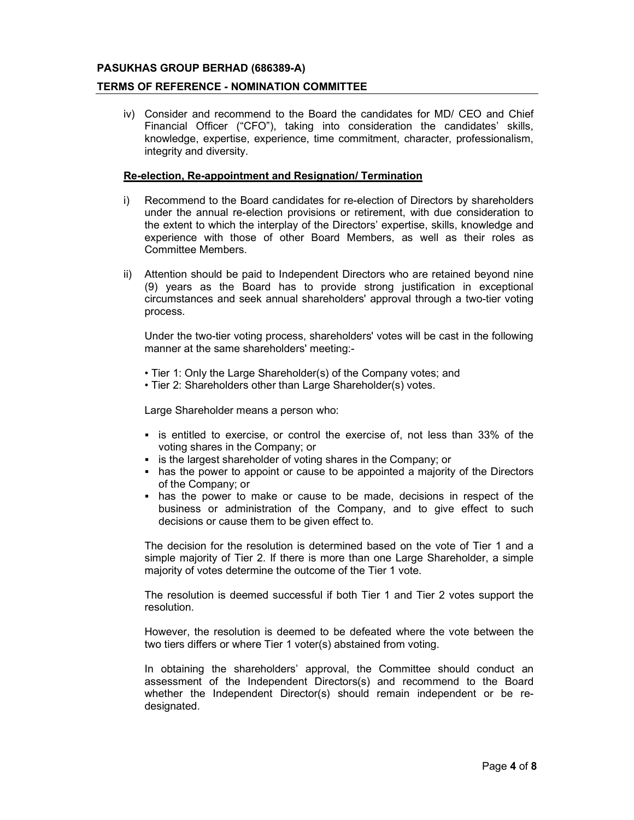#### TERMS OF REFERENCE - NOMINATION COMMITTEE

iv) Consider and recommend to the Board the candidates for MD/ CEO and Chief Financial Officer ("CFO"), taking into consideration the candidates' skills, knowledge, expertise, experience, time commitment, character, professionalism, integrity and diversity.

#### Re-election, Re-appointment and Resignation/ Termination

- i) Recommend to the Board candidates for re-election of Directors by shareholders under the annual re-election provisions or retirement, with due consideration to the extent to which the interplay of the Directors' expertise, skills, knowledge and experience with those of other Board Members, as well as their roles as Committee Members.
- ii) Attention should be paid to Independent Directors who are retained beyond nine (9) years as the Board has to provide strong justification in exceptional circumstances and seek annual shareholders' approval through a two-tier voting process.

Under the two-tier voting process, shareholders' votes will be cast in the following manner at the same shareholders' meeting:-

- Tier 1: Only the Large Shareholder(s) of the Company votes; and
- Tier 2: Shareholders other than Large Shareholder(s) votes.

Large Shareholder means a person who:

- **Exercise** is entitled to exercise, or control the exercise of, not less than 33% of the voting shares in the Company; or
- **EXTER** is the largest shareholder of voting shares in the Company; or
- has the power to appoint or cause to be appointed a majority of the Directors of the Company; or
- has the power to make or cause to be made, decisions in respect of the business or administration of the Company, and to give effect to such decisions or cause them to be given effect to.

The decision for the resolution is determined based on the vote of Tier 1 and a simple majority of Tier 2. If there is more than one Large Shareholder, a simple majority of votes determine the outcome of the Tier 1 vote.

The resolution is deemed successful if both Tier 1 and Tier 2 votes support the resolution.

However, the resolution is deemed to be defeated where the vote between the two tiers differs or where Tier 1 voter(s) abstained from voting.

In obtaining the shareholders' approval, the Committee should conduct an assessment of the Independent Directors(s) and recommend to the Board whether the Independent Director(s) should remain independent or be redesignated.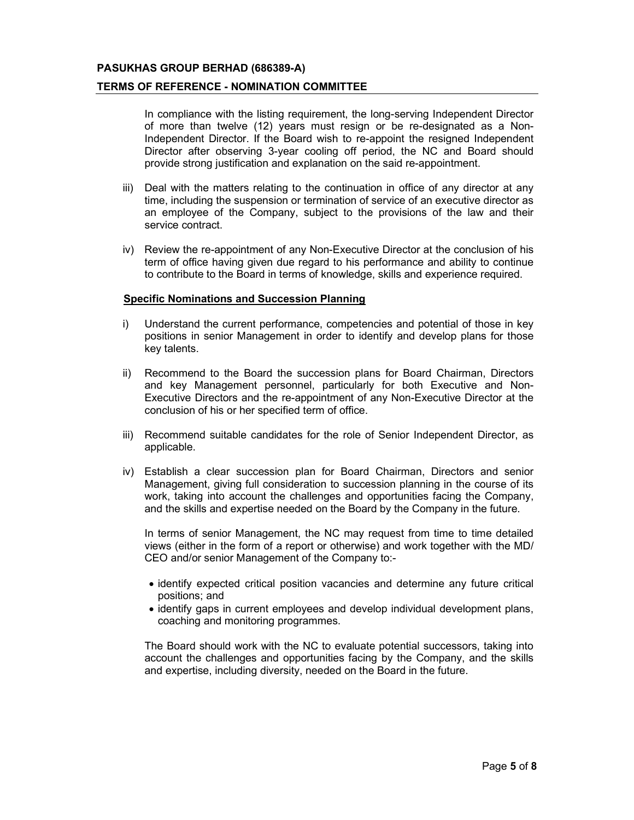#### TERMS OF REFERENCE - NOMINATION COMMITTEE

In compliance with the listing requirement, the long-serving Independent Director of more than twelve (12) years must resign or be re-designated as a Non-Independent Director. If the Board wish to re-appoint the resigned Independent Director after observing 3-year cooling off period, the NC and Board should provide strong justification and explanation on the said re-appointment.

- iii) Deal with the matters relating to the continuation in office of any director at any time, including the suspension or termination of service of an executive director as an employee of the Company, subject to the provisions of the law and their service contract.
- iv) Review the re-appointment of any Non-Executive Director at the conclusion of his term of office having given due regard to his performance and ability to continue to contribute to the Board in terms of knowledge, skills and experience required.

#### Specific Nominations and Succession Planning

- i) Understand the current performance, competencies and potential of those in key positions in senior Management in order to identify and develop plans for those key talents.
- ii) Recommend to the Board the succession plans for Board Chairman, Directors and key Management personnel, particularly for both Executive and Non-Executive Directors and the re-appointment of any Non-Executive Director at the conclusion of his or her specified term of office.
- iii) Recommend suitable candidates for the role of Senior Independent Director, as applicable.
- iv) Establish a clear succession plan for Board Chairman, Directors and senior Management, giving full consideration to succession planning in the course of its work, taking into account the challenges and opportunities facing the Company, and the skills and expertise needed on the Board by the Company in the future.

In terms of senior Management, the NC may request from time to time detailed views (either in the form of a report or otherwise) and work together with the MD/ CEO and/or senior Management of the Company to:-

- identify expected critical position vacancies and determine any future critical positions; and
- identify gaps in current employees and develop individual development plans, coaching and monitoring programmes.

The Board should work with the NC to evaluate potential successors, taking into account the challenges and opportunities facing by the Company, and the skills and expertise, including diversity, needed on the Board in the future.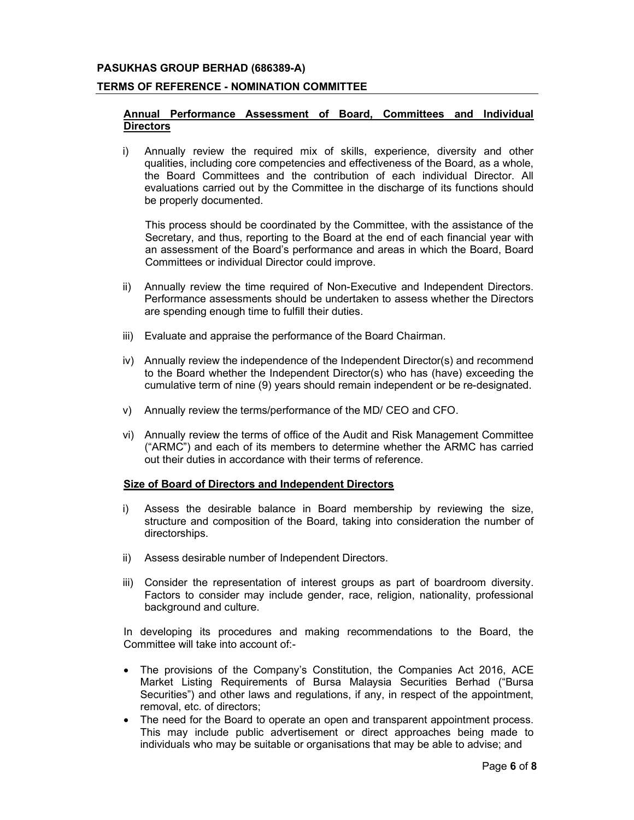### TERMS OF REFERENCE - NOMINATION COMMITTEE

### Annual Performance Assessment of Board, Committees and Individual **Directors**

i) Annually review the required mix of skills, experience, diversity and other qualities, including core competencies and effectiveness of the Board, as a whole, the Board Committees and the contribution of each individual Director. All evaluations carried out by the Committee in the discharge of its functions should be properly documented.

This process should be coordinated by the Committee, with the assistance of the Secretary, and thus, reporting to the Board at the end of each financial year with an assessment of the Board's performance and areas in which the Board, Board Committees or individual Director could improve.

- ii) Annually review the time required of Non-Executive and Independent Directors. Performance assessments should be undertaken to assess whether the Directors are spending enough time to fulfill their duties.
- iii) Evaluate and appraise the performance of the Board Chairman.
- iv) Annually review the independence of the Independent Director(s) and recommend to the Board whether the Independent Director(s) who has (have) exceeding the cumulative term of nine (9) years should remain independent or be re-designated.
- v) Annually review the terms/performance of the MD/ CEO and CFO.
- vi) Annually review the terms of office of the Audit and Risk Management Committee ("ARMC") and each of its members to determine whether the ARMC has carried out their duties in accordance with their terms of reference.

#### Size of Board of Directors and Independent Directors

- i) Assess the desirable balance in Board membership by reviewing the size, structure and composition of the Board, taking into consideration the number of directorships.
- ii) Assess desirable number of Independent Directors.
- iii) Consider the representation of interest groups as part of boardroom diversity. Factors to consider may include gender, race, religion, nationality, professional background and culture.

In developing its procedures and making recommendations to the Board, the Committee will take into account of:-

- The provisions of the Company's Constitution, the Companies Act 2016, ACE Market Listing Requirements of Bursa Malaysia Securities Berhad ("Bursa Securities") and other laws and regulations, if any, in respect of the appointment, removal, etc. of directors;
- The need for the Board to operate an open and transparent appointment process. This may include public advertisement or direct approaches being made to individuals who may be suitable or organisations that may be able to advise; and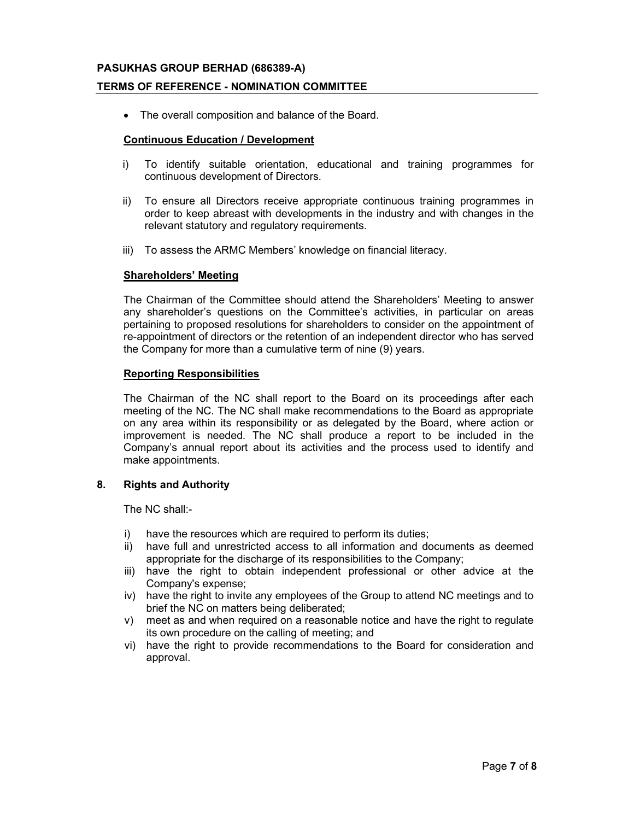### TERMS OF REFERENCE - NOMINATION COMMITTEE

The overall composition and balance of the Board.

### Continuous Education / Development

- i) To identify suitable orientation, educational and training programmes for continuous development of Directors.
- ii) To ensure all Directors receive appropriate continuous training programmes in order to keep abreast with developments in the industry and with changes in the relevant statutory and regulatory requirements.
- iii) To assess the ARMC Members' knowledge on financial literacy.

#### Shareholders' Meeting

The Chairman of the Committee should attend the Shareholders' Meeting to answer any shareholder's questions on the Committee's activities, in particular on areas pertaining to proposed resolutions for shareholders to consider on the appointment of re-appointment of directors or the retention of an independent director who has served the Company for more than a cumulative term of nine (9) years.

### Reporting Responsibilities

The Chairman of the NC shall report to the Board on its proceedings after each meeting of the NC. The NC shall make recommendations to the Board as appropriate on any area within its responsibility or as delegated by the Board, where action or improvement is needed. The NC shall produce a report to be included in the Company's annual report about its activities and the process used to identify and make appointments.

### 8. Rights and Authority

The NC shall:-

- i) have the resources which are required to perform its duties;
- ii) have full and unrestricted access to all information and documents as deemed appropriate for the discharge of its responsibilities to the Company;
- iii) have the right to obtain independent professional or other advice at the Company's expense;
- iv) have the right to invite any employees of the Group to attend NC meetings and to brief the NC on matters being deliberated;
- v) meet as and when required on a reasonable notice and have the right to regulate its own procedure on the calling of meeting; and
- vi) have the right to provide recommendations to the Board for consideration and approval.